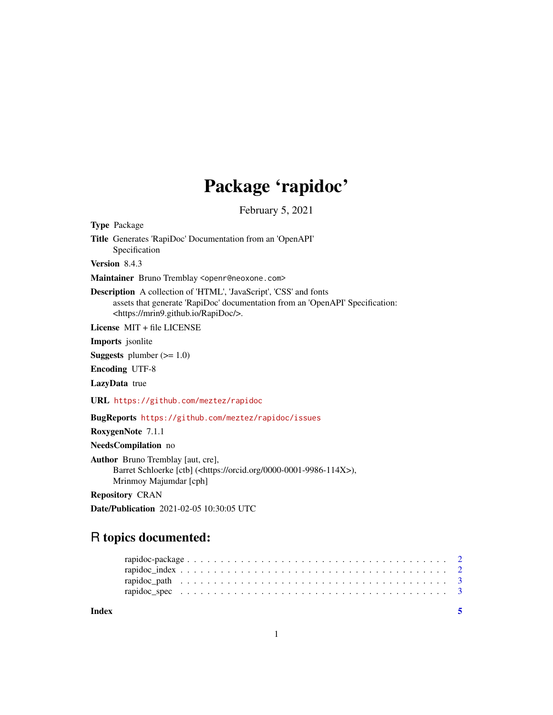## Package 'rapidoc'

February 5, 2021

Type Package

Title Generates 'RapiDoc' Documentation from an 'OpenAPI' Specification

Version 8.4.3

Maintainer Bruno Tremblay <openr@neoxone.com>

Description A collection of 'HTML', 'JavaScript', 'CSS' and fonts assets that generate 'RapiDoc' documentation from an 'OpenAPI' Specification: <https://mrin9.github.io/RapiDoc/>.

License MIT + file LICENSE

Imports jsonlite

**Suggests** plumber  $(>= 1.0)$ 

Encoding UTF-8

LazyData true

URL <https://github.com/meztez/rapidoc>

BugReports <https://github.com/meztez/rapidoc/issues>

RoxygenNote 7.1.1

NeedsCompilation no

Author Bruno Tremblay [aut, cre], Barret Schloerke [ctb] (<https://orcid.org/0000-0001-9986-114X>), Mrinmoy Majumdar [cph]

Repository CRAN

Date/Publication 2021-02-05 10:30:05 UTC

### R topics documented:

| Index |  |  |  |  |  |  |  |  |  |  |  |  |  |  |  |  |  |  |  |
|-------|--|--|--|--|--|--|--|--|--|--|--|--|--|--|--|--|--|--|--|
|       |  |  |  |  |  |  |  |  |  |  |  |  |  |  |  |  |  |  |  |
|       |  |  |  |  |  |  |  |  |  |  |  |  |  |  |  |  |  |  |  |
|       |  |  |  |  |  |  |  |  |  |  |  |  |  |  |  |  |  |  |  |
|       |  |  |  |  |  |  |  |  |  |  |  |  |  |  |  |  |  |  |  |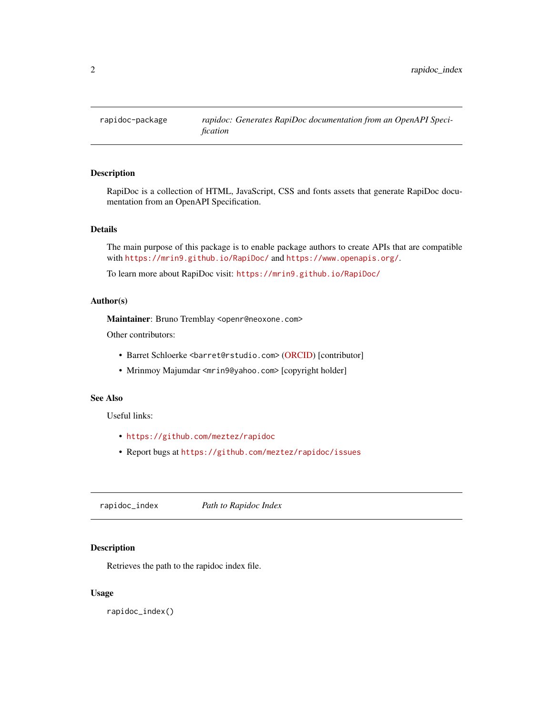<span id="page-1-0"></span>

#### Description

RapiDoc is a collection of HTML, JavaScript, CSS and fonts assets that generate RapiDoc documentation from an OpenAPI Specification.

#### Details

The main purpose of this package is to enable package authors to create APIs that are compatible with <https://mrin9.github.io/RapiDoc/> and <https://www.openapis.org/>.

To learn more about RapiDoc visit: <https://mrin9.github.io/RapiDoc/>

#### Author(s)

Maintainer: Bruno Tremblay <openr@neoxone.com>

Other contributors:

- Barret Schloerke <barret@rstudio.com> [\(ORCID\)](https://orcid.org/0000-0001-9986-114X) [contributor]
- Mrinmoy Majumdar <mrin9@yahoo.com> [copyright holder]

#### See Also

Useful links:

- <https://github.com/meztez/rapidoc>
- Report bugs at <https://github.com/meztez/rapidoc/issues>

<span id="page-1-1"></span>rapidoc\_index *Path to Rapidoc Index*

#### Description

Retrieves the path to the rapidoc index file.

#### Usage

rapidoc\_index()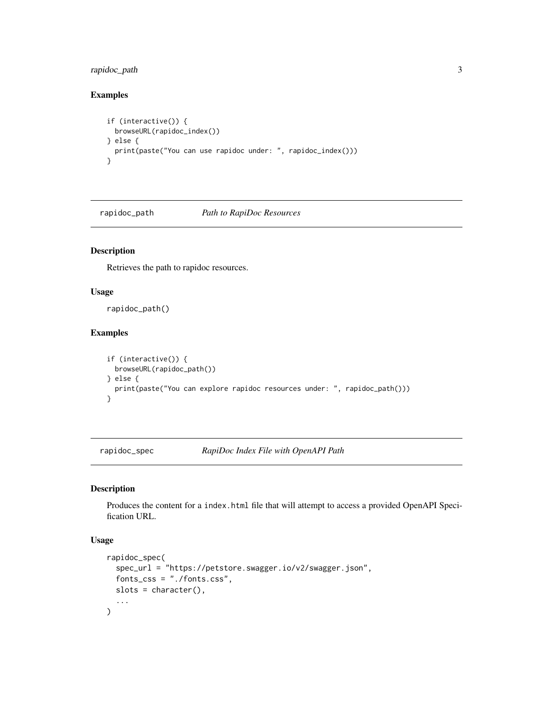#### <span id="page-2-0"></span>rapidoc\_path 3

#### Examples

```
if (interactive()) {
  browseURL(rapidoc_index())
} else {
  print(paste("You can use rapidoc under: ", rapidoc_index()))
}
```
rapidoc\_path *Path to RapiDoc Resources*

#### Description

Retrieves the path to rapidoc resources.

#### Usage

rapidoc\_path()

#### Examples

```
if (interactive()) {
  browseURL(rapidoc_path())
} else {
  print(paste("You can explore rapidoc resources under: ", rapidoc_path()))
}
```
rapidoc\_spec *RapiDoc Index File with OpenAPI Path*

#### Description

Produces the content for a index.html file that will attempt to access a provided OpenAPI Specification URL.

#### Usage

```
rapidoc_spec(
  spec_url = "https://petstore.swagger.io/v2/swagger.json",
  fonts_css = "./fonts.css",
  slots = character(),
  ...
\mathcal{L}
```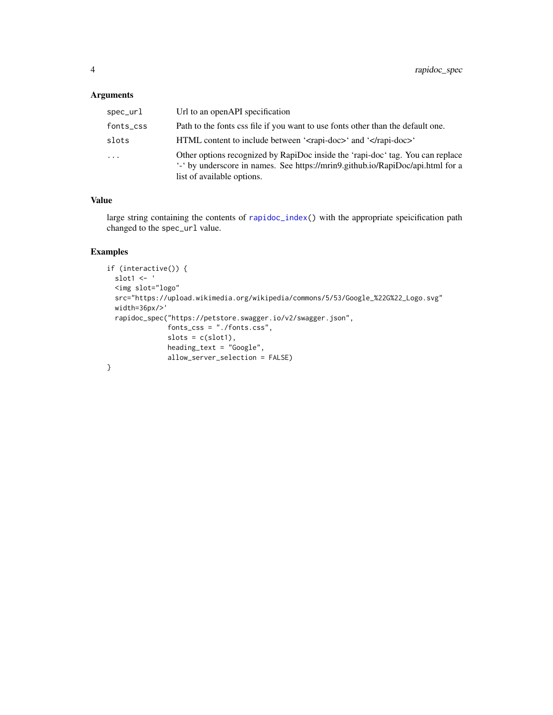#### <span id="page-3-0"></span>Arguments

| spec_url  | Url to an openAPI specification                                                                                                                                                                |
|-----------|------------------------------------------------------------------------------------------------------------------------------------------------------------------------------------------------|
| fonts_css | Path to the fonts css file if you want to use fonts other than the default one.                                                                                                                |
| slots     | HTML content to include between ' <rapi-doc>' and '</rapi-doc> '                                                                                                                               |
| $\ddots$  | Other options recognized by RapiDoc inside the 'rapi-doc' tag. You can replace<br>'-' by underscore in names. See https://mrin9.github.io/RapiDoc/api.html for a<br>list of available options. |

#### Value

large string containing the contents of [rapidoc\\_index\(](#page-1-1)) with the appropriate speicification path changed to the spec\_url value.

#### Examples

```
if (interactive()) {
 slot1 <- '
  <img slot="logo"
  src="https://upload.wikimedia.org/wikipedia/commons/5/53/Google_%22G%22_Logo.svg"
  width=36px/>'
  rapidoc_spec("https://petstore.swagger.io/v2/swagger.json",
              fonts_css = "./fonts.css",
               slots = c(slot1),
              heading_text = "Google",
              allow_server_selection = FALSE)
}
```